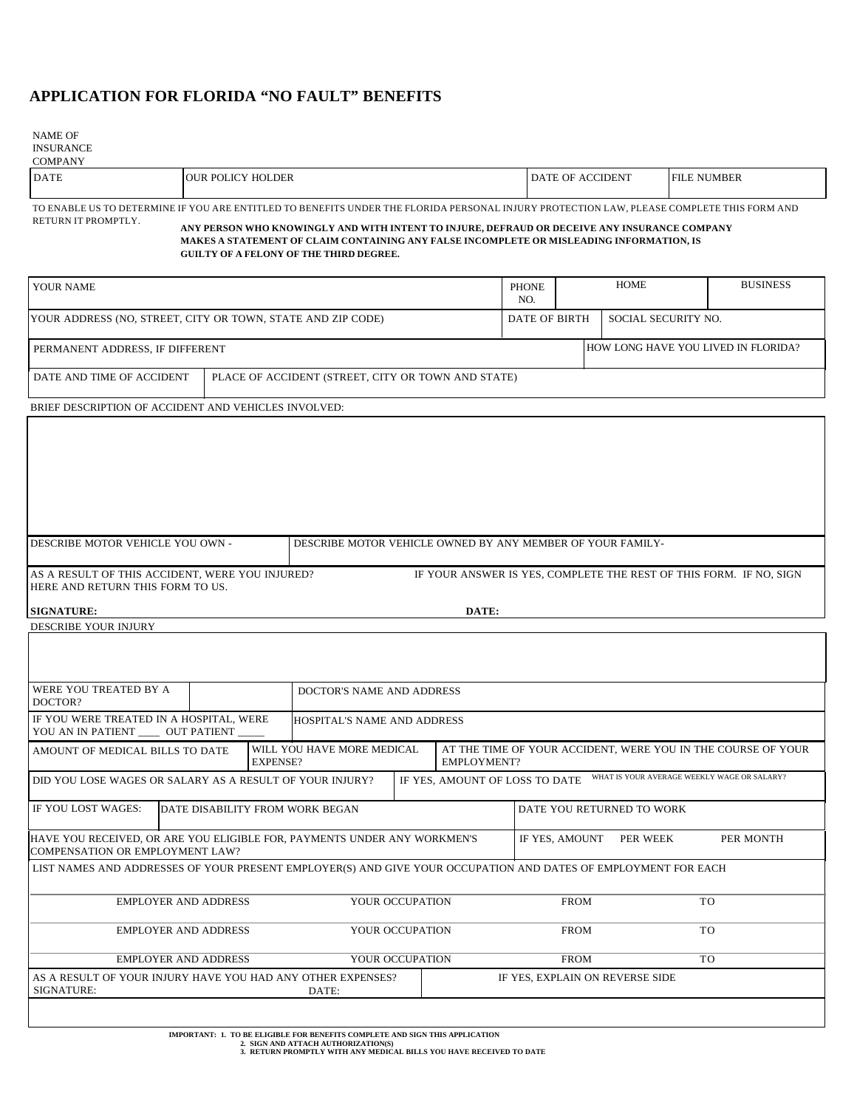## **APPLICATION FOR FLORIDA "NO FAULT" BENEFITS**

NAME OF INSURANCE

COMPANY

| <u>COMA ANTE</u> |                                                                                                                                           |                         |                    |  |  |
|------------------|-------------------------------------------------------------------------------------------------------------------------------------------|-------------------------|--------------------|--|--|
| <b>DATE</b>      | <b>JOUR POLICY HOLDER</b>                                                                                                                 | <b>DATE OF ACCIDENT</b> | <b>FILE NUMBER</b> |  |  |
|                  | TO ENABLE US TO DETERMINE IF YOU ARE ENTITLED TO BENEFITS UNDER THE FLORIDA PERSONAL INJURY PROTECTION LAW. PLEASE COMPLETE THIS FORM AND |                         |                    |  |  |

RETURN IT PROMPTLY.

DESCRIBE YOUR INJURY

**ANY PERSON WHO KNOWINGLY AND WITH INTENT TO INJURE, DEFRAUD OR DECEIVE ANY INSURANCE COMPANY MAKES A STATEMENT OF CLAIM CONTAINING ANY FALSE INCOMPLETE OR MISLEADING INFORMATION, IS GUILTY OF A FELONY OF THE THIRD DEGREE.**

| YOUR NAME                       | PHONE<br>NO.                                                | <b>HOME</b> |                                      | <b>BUSINESS</b> |  |
|---------------------------------|-------------------------------------------------------------|-------------|--------------------------------------|-----------------|--|
|                                 | YOUR ADDRESS (NO, STREET, CITY OR TOWN, STATE AND ZIP CODE) |             | DATE OF BIRTH<br>SOCIAL SECURITY NO. |                 |  |
| PERMANENT ADDRESS, IF DIFFERENT |                                                             |             | HOW LONG HAVE YOU LIVED IN FLORIDA?  |                 |  |
| DATE AND TIME OF ACCIDENT       | PLACE OF ACCIDENT (STREET, CITY OR TOWN AND STATE)          |             |                                      |                 |  |

BRIEF DESCRIPTION OF ACCIDENT AND VEHICLES INVOLVED:

| <b>IDESCRIBE MOTOR VEHICLE YOU OWN -</b>                                            | DESCRIBE MOTOR VEHICLE OWNED BY ANY MEMBER OF YOUR FAMILY-         |  |  |  |
|-------------------------------------------------------------------------------------|--------------------------------------------------------------------|--|--|--|
|                                                                                     |                                                                    |  |  |  |
| AS A RESULT OF THIS ACCIDENT, WERE YOU INJURED?<br>HERE AND RETURN THIS FORM TO US. | IF YOUR ANSWER IS YES, COMPLETE THE REST OF THIS FORM. IF NO, SIGN |  |  |  |
| DATE:<br><b>SIGNATURE:</b>                                                          |                                                                    |  |  |  |

| WERE YOU TREATED BY A<br>DOCTOR?                                                                               |                             |  | DOCTOR'S NAME AND ADDRESS   |  |                                                                                    |                |          |                                             |
|----------------------------------------------------------------------------------------------------------------|-----------------------------|--|-----------------------------|--|------------------------------------------------------------------------------------|----------------|----------|---------------------------------------------|
| IF YOU WERE TREATED IN A HOSPITAL, WERE<br>YOU AN IN PATIENT _____ OUT PATIENT ____                            |                             |  | HOSPITAL'S NAME AND ADDRESS |  |                                                                                    |                |          |                                             |
| AMOUNT OF MEDICAL BILLS TO DATE<br><b>EXPENSE?</b>                                                             |                             |  | WILL YOU HAVE MORE MEDICAL  |  | AT THE TIME OF YOUR ACCIDENT, WERE YOU IN THE COURSE OF YOUR<br><b>EMPLOYMENT?</b> |                |          |                                             |
| DID YOU LOSE WAGES OR SALARY AS A RESULT OF YOUR INJURY?                                                       |                             |  |                             |  | IF YES, AMOUNT OF LOSS TO DATE                                                     |                |          | WHAT IS YOUR AVERAGE WEEKLY WAGE OR SALARY? |
| IF YOU LOST WAGES:<br>DATE DISABILITY FROM WORK BEGAN                                                          |                             |  |                             |  | DATE YOU RETURNED TO WORK                                                          |                |          |                                             |
| HAVE YOU RECEIVED, OR ARE YOU ELIGIBLE FOR, PAYMENTS UNDER ANY WORKMEN'S<br>COMPENSATION OR EMPLOYMENT LAW?    |                             |  |                             |  |                                                                                    | IF YES, AMOUNT | PER WEEK | PER MONTH                                   |
| LIST NAMES AND ADDRESSES OF YOUR PRESENT EMPLOYER(S) AND GIVE YOUR OCCUPATION AND DATES OF EMPLOYMENT FOR EACH |                             |  |                             |  |                                                                                    |                |          |                                             |
| <b>EMPLOYER AND ADDRESS</b><br><b>EMPLOYER AND ADDRESS</b>                                                     |                             |  | YOUR OCCUPATION             |  |                                                                                    | <b>FROM</b>    |          | T <sub>O</sub>                              |
|                                                                                                                |                             |  | YOUR OCCUPATION             |  | <b>TO</b><br><b>FROM</b>                                                           |                |          |                                             |
|                                                                                                                | <b>EMPLOYER AND ADDRESS</b> |  | YOUR OCCUPATION             |  |                                                                                    | <b>FROM</b>    |          | TO.                                         |
|                                                                                                                |                             |  |                             |  |                                                                                    |                |          |                                             |

**IMPORTANT: 1. TO BE ELIGIBLE FOR BENEFITS COMPLETE AND SIGN THIS APPLICATION 2. SIGN AND ATTACH AUTHORIZATION(S) 3. RETURN PROMPTLY WITH ANY MEDICAL BILLS YOU HAVE RECEIVED TO DATE**